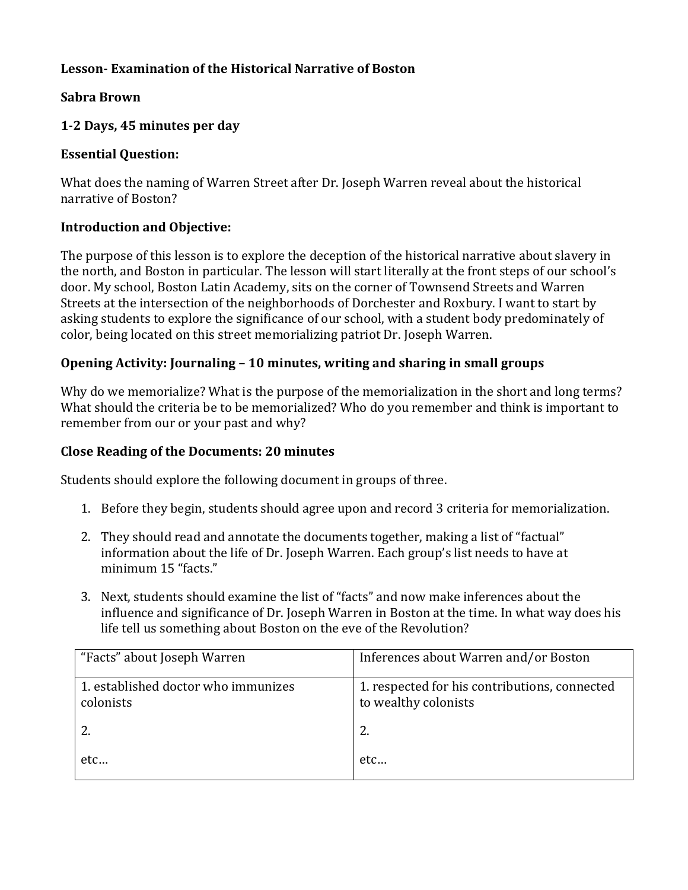# **Lesson- Examination of the Historical Narrative of Boston**

## **Sabra Brown**

# **1-2 Days, 45 minutes per day**

### **Essential Question:**

What does the naming of Warren Street after Dr. Joseph Warren reveal about the historical narrative of Boston?

## **Introduction and Objective:**

The purpose of this lesson is to explore the deception of the historical narrative about slavery in the north, and Boston in particular. The lesson will start literally at the front steps of our school's door. My school, Boston Latin Academy, sits on the corner of Townsend Streets and Warren Streets at the intersection of the neighborhoods of Dorchester and Roxbury. I want to start by asking students to explore the significance of our school, with a student body predominately of color, being located on this street memorializing patriot Dr. Joseph Warren.

## **Opening Activity: Journaling – 10 minutes, writing and sharing in small groups**

Why do we memorialize? What is the purpose of the memorialization in the short and long terms? What should the criteria be to be memorialized? Who do you remember and think is important to remember from our or your past and why?

### **Close Reading of the Documents: 20 minutes**

Students should explore the following document in groups of three.

- 1. Before they begin, students should agree upon and record 3 criteria for memorialization.
- 2. They should read and annotate the documents together, making a list of "factual" information about the life of Dr. Joseph Warren. Each group's list needs to have at minimum 15 "facts."
- 3. Next, students should examine the list of "facts" and now make inferences about the influence and significance of Dr. Joseph Warren in Boston at the time. In what way does his life tell us something about Boston on the eve of the Revolution?

| "Facts" about Joseph Warren                      | Inferences about Warren and/or Boston                                 |
|--------------------------------------------------|-----------------------------------------------------------------------|
| 1. established doctor who immunizes<br>colonists | 1. respected for his contributions, connected<br>to wealthy colonists |
|                                                  | 2.                                                                    |
| etc                                              | etc                                                                   |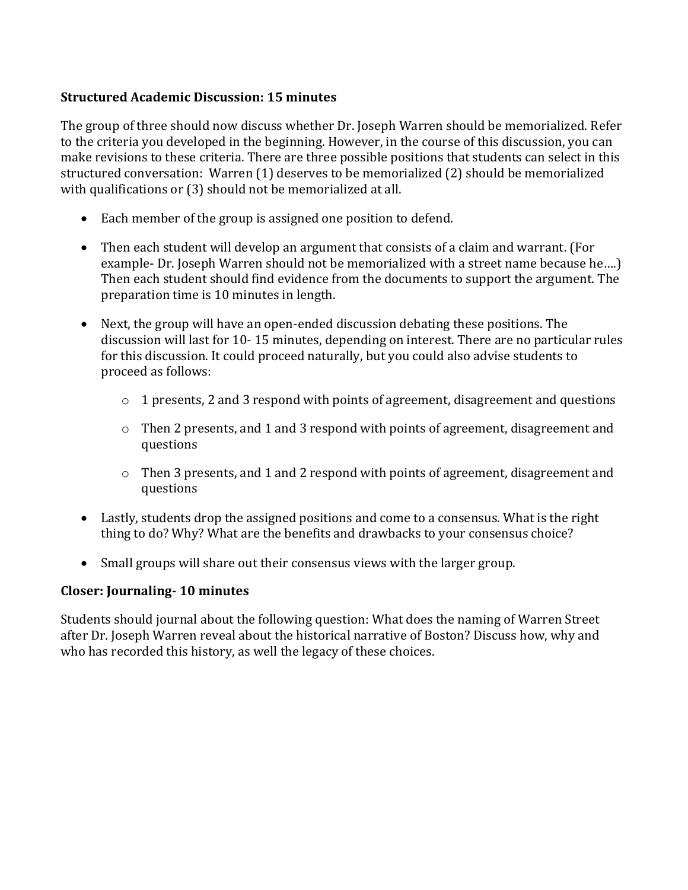## **Structured Academic Discussion: 15 minutes**

The group of three should now discuss whether Dr. Joseph Warren should be memorialized. Refer to the criteria you developed in the beginning. However, in the course of this discussion, you can make revisions to these criteria. There are three possible positions that students can select in this structured conversation: Warren (1) deserves to be memorialized (2) should be memorialized with qualifications or (3) should not be memorialized at all.

- Each member of the group is assigned one position to defend.
- Then each student will develop an argument that consists of a claim and warrant. (For example- Dr. Joseph Warren should not be memorialized with a street name because he....) Then each student should find evidence from the documents to support the argument. The preparation time is 10 minutes in length.
- Next, the group will have an open-ended discussion debating these positions. The discussion will last for 10- 15 minutes, depending on interest. There are no particular rules for this discussion. It could proceed naturally, but you could also advise students to proceed as follows:
	- $\circ$  1 presents, 2 and 3 respond with points of agreement, disagreement and questions
	- $\circ$  Then 2 presents, and 1 and 3 respond with points of agreement, disagreement and questions
	- $\circ$  Then 3 presents, and 1 and 2 respond with points of agreement, disagreement and questions
- Lastly, students drop the assigned positions and come to a consensus. What is the right thing to do? Why? What are the benefits and drawbacks to your consensus choice?
- Small groups will share out their consensus views with the larger group.

### **Closer: Journaling- 10 minutes**

Students should journal about the following question: What does the naming of Warren Street after Dr. Joseph Warren reveal about the historical narrative of Boston? Discuss how, why and who has recorded this history, as well the legacy of these choices.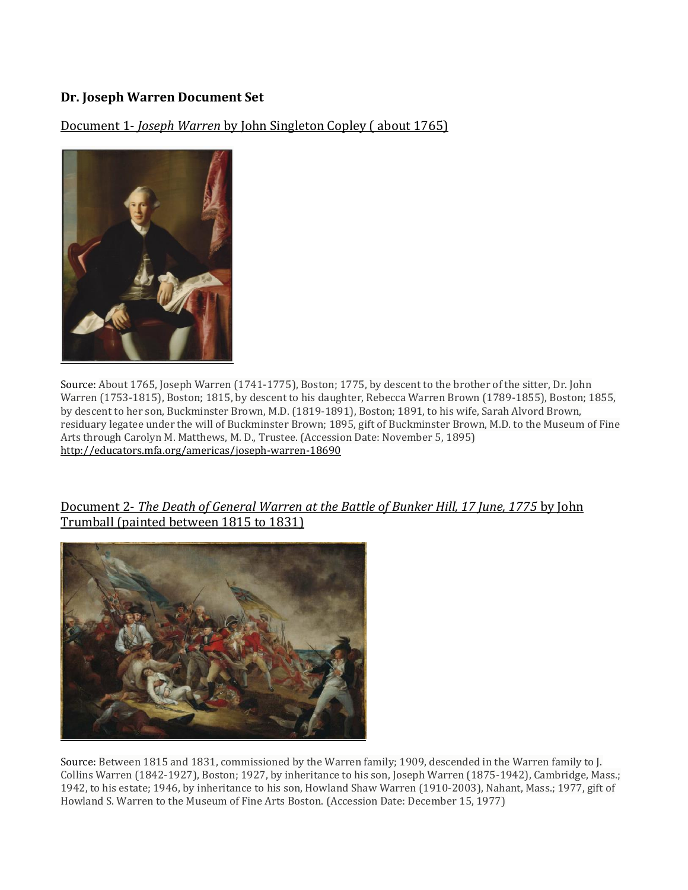### **Dr. Joseph Warren Document Set**

Document 1- *Joseph Warren* by John Singleton Copley ( about 1765)



Source: About 1765, Joseph Warren (1741-1775), Boston; 1775, by descent to the brother of the sitter, Dr. John Warren (1753-1815), Boston; 1815, by descent to his daughter, Rebecca Warren Brown (1789-1855), Boston; 1855, by descent to her son, Buckminster Brown, M.D. (1819-1891), Boston; 1891, to his wife, Sarah Alvord Brown, residuary legatee under the will of Buckminster Brown; 1895, gift of Buckminster Brown, M.D. to the Museum of Fine Arts through Carolyn M. Matthews, M. D., Trustee. (Accession Date: November 5, 1895) <http://educators.mfa.org/americas/joseph-warren-18690>

### Document 2- *The Death of General Warren at the Battle of Bunker Hill, 17 June, 1775* by John Trumball (painted between 1815 to 1831)



Source: Between 1815 and 1831, commissioned by the Warren family; 1909, descended in the Warren family to J. Collins Warren (1842-1927), Boston; 1927, by inheritance to his son, Joseph Warren (1875-1942), Cambridge, Mass.; 1942, to his estate; 1946, by inheritance to his son, Howland Shaw Warren (1910-2003), Nahant, Mass.; 1977, gift of Howland S. Warren to the Museum of Fine Arts Boston. (Accession Date: December 15, 1977)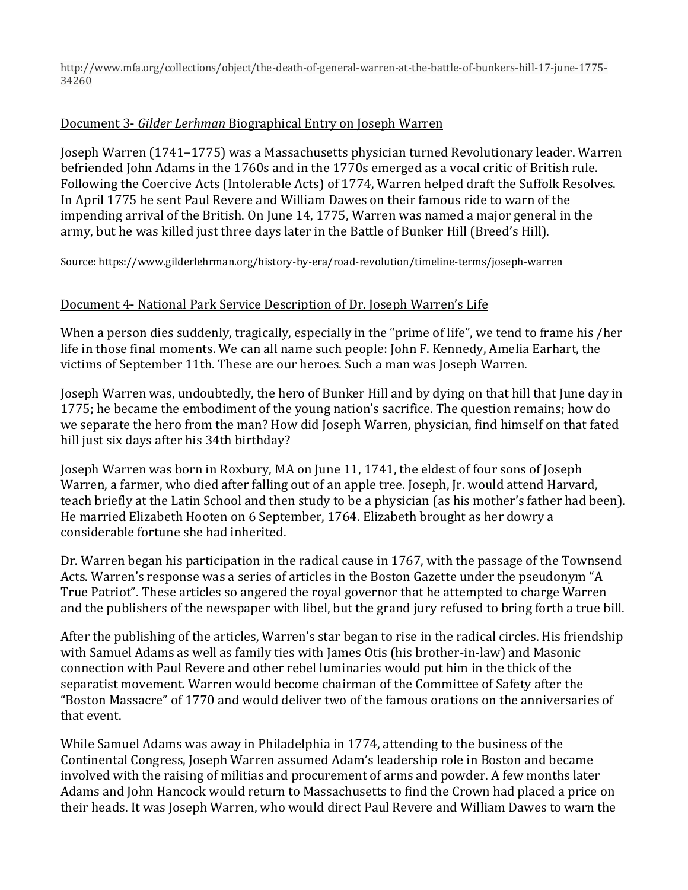http://www.mfa.org/collections/object/the-death-of-general-warren-at-the-battle-of-bunkers-hill-17-june-1775- 34260

### Document 3- *Gilder Lerhman* Biographical Entry on Joseph Warren

Joseph Warren (1741–1775) was a Massachusetts physician turned Revolutionary leader. Warren befriended John Adams in the 1760s and in the 1770s emerged as a vocal critic of British rule. Following the Coercive Acts (Intolerable Acts) of 1774, Warren helped draft the Suffolk Resolves. In April 1775 he sent Paul Revere and William Dawes on their famous ride to warn of the impending arrival of the British. On June 14, 1775, Warren was named a major general in the army, but he was killed just three days later in the Battle of Bunker Hill (Breed's Hill).

Source: https://www.gilderlehrman.org/history-by-era/road-revolution/timeline-terms/joseph-warren

#### Document 4- National Park Service Description of Dr. Joseph Warren's Life

When a person dies suddenly, tragically, especially in the "prime of life", we tend to frame his /her life in those final moments. We can all name such people: John F. Kennedy, Amelia Earhart, the victims of September 11th. These are our heroes. Such a man was Joseph Warren.

Joseph Warren was, undoubtedly, the hero of Bunker Hill and by dying on that hill that June day in 1775; he became the embodiment of the young nation's sacrifice. The question remains; how do we separate the hero from the man? How did Joseph Warren, physician, find himself on that fated hill just six days after his 34th birthday?

Joseph Warren was born in Roxbury, MA on June 11, 1741, the eldest of four sons of Joseph Warren, a farmer, who died after falling out of an apple tree. Joseph, Jr. would attend Harvard, teach briefly at the Latin School and then study to be a physician (as his mother's father had been). He married Elizabeth Hooten on 6 September, 1764. Elizabeth brought as her dowry a considerable fortune she had inherited.

Dr. Warren began his participation in the radical cause in 1767, with the passage of the Townsend Acts. Warren's response was a series of articles in the Boston Gazette under the pseudonym "A True Patriot". These articles so angered the royal governor that he attempted to charge Warren and the publishers of the newspaper with libel, but the grand jury refused to bring forth a true bill.

After the publishing of the articles, Warren's star began to rise in the radical circles. His friendship with Samuel Adams as well as family ties with James Otis (his brother-in-law) and Masonic connection with Paul Revere and other rebel luminaries would put him in the thick of the separatist movement. Warren would become chairman of the Committee of Safety after the "Boston Massacre" of 1770 and would deliver two of the famous orations on the anniversaries of that event.

While Samuel Adams was away in Philadelphia in 1774, attending to the business of the Continental Congress, Joseph Warren assumed Adam's leadership role in Boston and became involved with the raising of militias and procurement of arms and powder. A few months later Adams and John Hancock would return to Massachusetts to find the Crown had placed a price on their heads. It was Joseph Warren, who would direct Paul Revere and William Dawes to warn the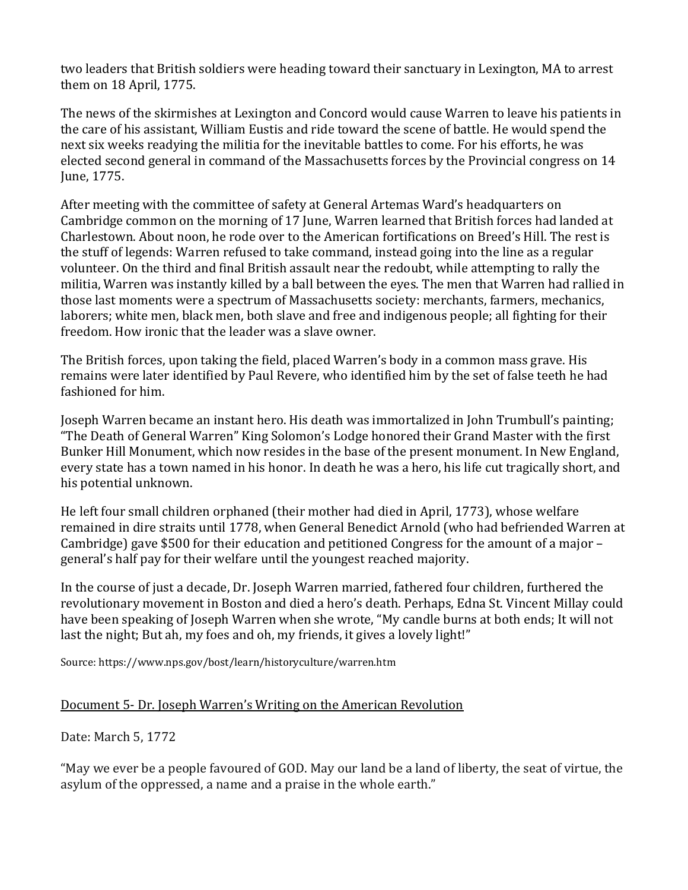two leaders that British soldiers were heading toward their sanctuary in Lexington, MA to arrest them on 18 April, 1775.

The news of the skirmishes at Lexington and Concord would cause Warren to leave his patients in the care of his assistant, William Eustis and ride toward the scene of battle. He would spend the next six weeks readying the militia for the inevitable battles to come. For his efforts, he was elected second general in command of the Massachusetts forces by the Provincial congress on 14 June, 1775.

After meeting with the committee of safety at General Artemas Ward's headquarters on Cambridge common on the morning of 17 June, Warren learned that British forces had landed at Charlestown. About noon, he rode over to the American fortifications on Breed's Hill. The rest is the stuff of legends: Warren refused to take command, instead going into the line as a regular volunteer. On the third and final British assault near the redoubt, while attempting to rally the militia, Warren was instantly killed by a ball between the eyes. The men that Warren had rallied in those last moments were a spectrum of Massachusetts society: merchants, farmers, mechanics, laborers; white men, black men, both slave and free and indigenous people; all fighting for their freedom. How ironic that the leader was a slave owner.

The British forces, upon taking the field, placed Warren's body in a common mass grave. His remains were later identified by Paul Revere, who identified him by the set of false teeth he had fashioned for him.

Joseph Warren became an instant hero. His death was immortalized in John Trumbull's painting; "The Death of General Warren" King Solomon's Lodge honored their Grand Master with the first Bunker Hill Monument, which now resides in the base of the present monument. In New England, every state has a town named in his honor. In death he was a hero, his life cut tragically short, and his potential unknown.

He left four small children orphaned (their mother had died in April, 1773), whose welfare remained in dire straits until 1778, when General Benedict Arnold (who had befriended Warren at Cambridge) gave \$500 for their education and petitioned Congress for the amount of a major – general's half pay for their welfare until the youngest reached majority.

In the course of just a decade, Dr. Joseph Warren married, fathered four children, furthered the revolutionary movement in Boston and died a hero's death. Perhaps, Edna St. Vincent Millay could have been speaking of Joseph Warren when she wrote, "My candle burns at both ends; It will not last the night; But ah, my foes and oh, my friends, it gives a lovely light!"

Source: https://www.nps.gov/bost/learn/historyculture/warren.htm

### Document 5- Dr. Joseph Warren's Writing on the American Revolution

Date: March 5, 1772

"May we ever be a people favoured of GOD. May our land be a land of liberty, the seat of virtue, the asylum of the oppressed, a name and a praise in the whole earth."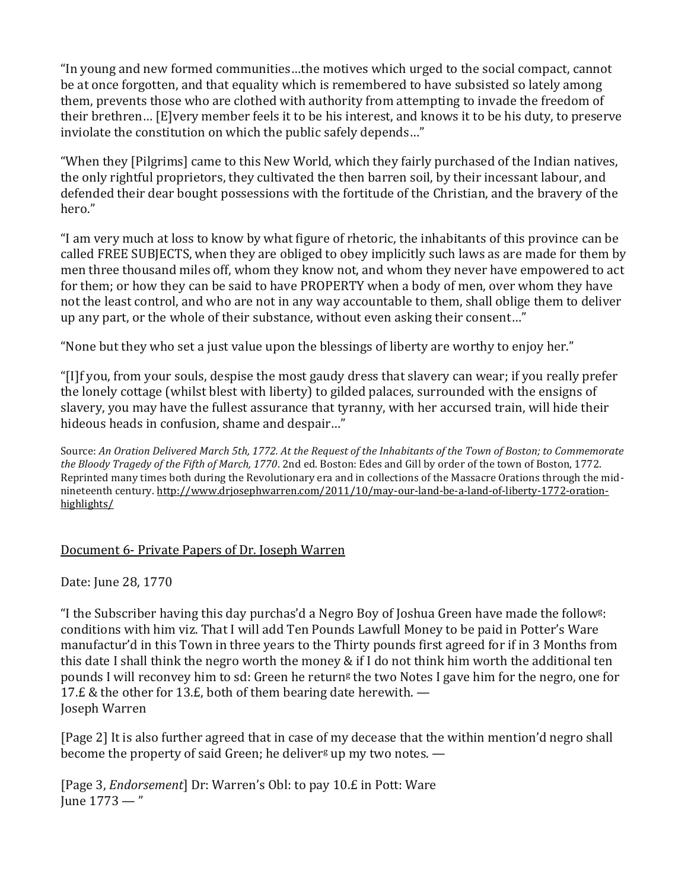"In young and new formed communities…the motives which urged to the social compact, cannot be at once forgotten, and that equality which is remembered to have subsisted so lately among them, prevents those who are clothed with authority from attempting to invade the freedom of their brethren… [E]very member feels it to be his interest, and knows it to be his duty, to preserve inviolate the constitution on which the public safely depends…"

"When they [Pilgrims] came to this New World, which they fairly purchased of the Indian natives, the only rightful proprietors, they cultivated the then barren soil, by their incessant labour, and defended their dear bought possessions with the fortitude of the Christian, and the bravery of the hero."

"I am very much at loss to know by what figure of rhetoric, the inhabitants of this province can be called FREE SUBJECTS, when they are obliged to obey implicitly such laws as are made for them by men three thousand miles off, whom they know not, and whom they never have empowered to act for them; or how they can be said to have PROPERTY when a body of men, over whom they have not the least control, and who are not in any way accountable to them, shall oblige them to deliver up any part, or the whole of their substance, without even asking their consent…"

"None but they who set a just value upon the blessings of liberty are worthy to enjoy her."

"[I]f you, from your souls, despise the most gaudy dress that slavery can wear; if you really prefer the lonely cottage (whilst blest with liberty) to gilded palaces, surrounded with the ensigns of slavery, you may have the fullest assurance that tyranny, with her accursed train, will hide their hideous heads in confusion, shame and despair…"

Source: *An Oration Delivered March 5th, 1772. At the Request of the Inhabitants of the Town of Boston; to Commemorate the Bloody Tragedy of the Fifth of March, 1770*. 2nd ed. Boston: Edes and Gill by order of the town of Boston, 1772. Reprinted many times both during the Revolutionary era and in collections of the Massacre Orations through the midnineteenth century. [http://www.drjosephwarren.com/2011/10/may-our-land-be-a-land-of-liberty-1772-oration](http://www.drjosephwarren.com/2011/10/may-our-land-be-a-land-of-liberty-1772-oration-highlights/)[highlights/](http://www.drjosephwarren.com/2011/10/may-our-land-be-a-land-of-liberty-1772-oration-highlights/)

### Document 6- Private Papers of Dr. Joseph Warren

Date: June 28, 1770

"I the Subscriber having this day purchas'd a Negro Boy of Joshua Green have made the follow<sup>g</sup> : conditions with him viz. That I will add Ten Pounds Lawfull Money to be paid in Potter's Ware manufactur'd in this Town in three years to the Thirty pounds first agreed for if in 3 Months from this date I shall think the negro worth the money & if I do not think him worth the additional ten pounds I will reconvey him to sd: Green he return<sup>g</sup> the two Notes I gave him for the negro, one for 17.£ & the other for 13.£, both of them bearing date herewith. — Joseph Warren

[Page 2] It is also further agreed that in case of my decease that the within mention'd negro shall become the property of said Green; he deliver<sup>g</sup> up my two notes. —

[Page 3, *Endorsement*] Dr: Warren's Obl: to pay 10.£ in Pott: Ware June 1773 — "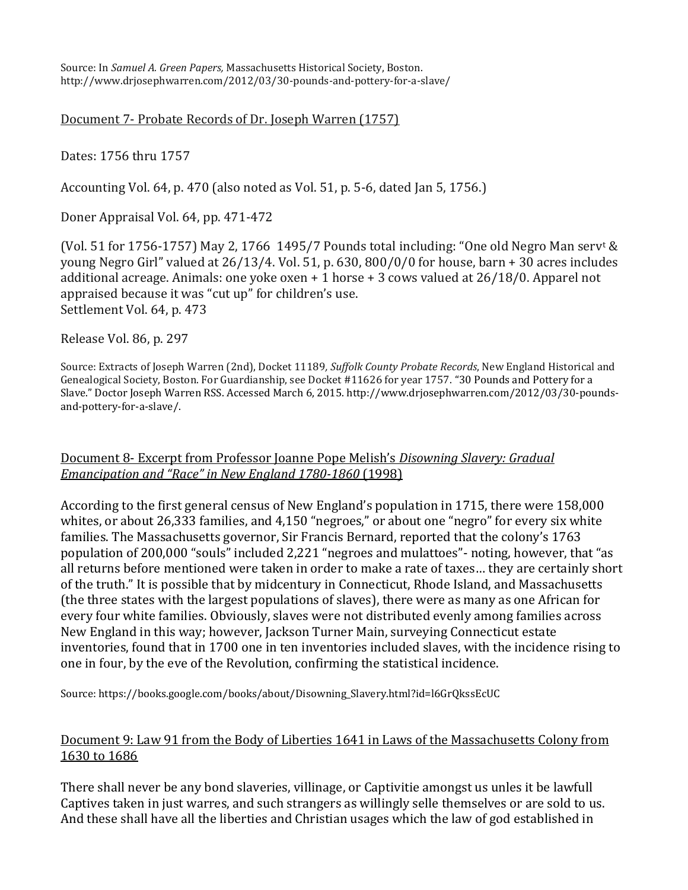Source: In *Samuel A. Green Papers,* Massachusetts Historical Society, Boston. http://www.drjosephwarren.com/2012/03/30-pounds-and-pottery-for-a-slave/

Document 7- Probate Records of Dr. Joseph Warren (1757)

Dates: 1756 thru 1757

Accounting Vol. 64, p. 470 (also noted as Vol. 51, p. 5-6, dated Jan 5, 1756.)

Doner Appraisal Vol. 64, pp. 471-472

(Vol. 51 for 1756-1757) May 2, 1766 1495/7 Pounds total including: "One old Negro Man serv<sup>t</sup> & young Negro Girl" valued at 26/13/4. Vol. 51, p. 630, 800/0/0 for house, barn + 30 acres includes additional acreage. Animals: one yoke oxen + 1 horse + 3 cows valued at 26/18/0. Apparel not appraised because it was "cut up" for children's use. Settlement Vol. 64, p. 473

Release Vol. 86, p. 297

Source: Extracts of Joseph Warren (2nd), Docket 11189*, Suffolk County Probate Records*, New England Historical and Genealogical Society, Boston. For Guardianship, see Docket #11626 for year 1757. "30 Pounds and Pottery for a Slave." Doctor Joseph Warren RSS. Accessed March 6, 2015. [http://www.drjosephwarren.com/2012/03/30-pounds](http://www.drjosephwarren.com/2012/03/30-pounds-and-pottery-for-a-slave/)[and-pottery-for-a-slave/.](http://www.drjosephwarren.com/2012/03/30-pounds-and-pottery-for-a-slave/)

#### Document 8- Excerpt from Professor Joanne Pope Melish's *Disowning Slavery: Gradual Emancipation and "Race" in New England 1780-1860* (1998)

According to the first general census of New England's population in 1715, there were 158,000 whites, or about 26,333 families, and 4,150 "negroes," or about one "negro" for every six white families. The Massachusetts governor, Sir Francis Bernard, reported that the colony's 1763 population of 200,000 "souls" included 2,221 "negroes and mulattoes"- noting, however, that "as all returns before mentioned were taken in order to make a rate of taxes… they are certainly short of the truth." It is possible that by midcentury in Connecticut, Rhode Island, and Massachusetts (the three states with the largest populations of slaves), there were as many as one African for every four white families. Obviously, slaves were not distributed evenly among families across New England in this way; however, Jackson Turner Main, surveying Connecticut estate inventories, found that in 1700 one in ten inventories included slaves, with the incidence rising to one in four, by the eve of the Revolution, confirming the statistical incidence.

Source: https://books.google.com/books/about/Disowning\_Slavery.html?id=l6GrQkssEcUC

### Document 9: Law 91 from the Body of Liberties 1641 in Laws of the Massachusetts Colony from 1630 to 1686

There shall never be any bond slaveries, villinage, or Captivitie amongst us unles it be lawfull Captives taken in just warres, and such strangers as willingly selle themselves or are sold to us. And these shall have all the liberties and Christian usages which the law of god established in